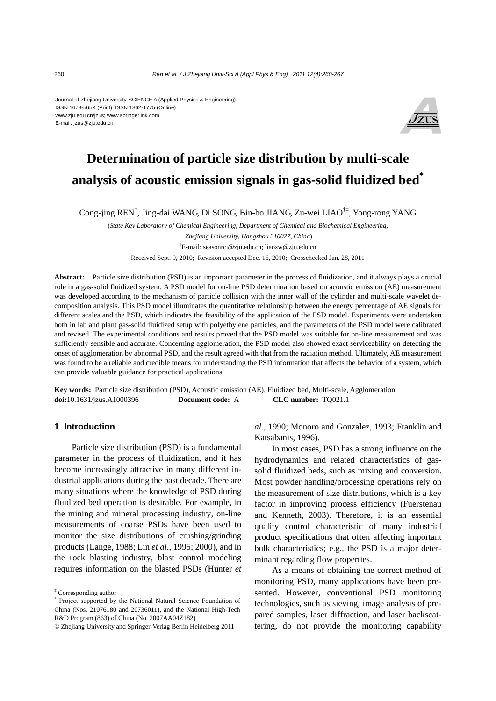Journal of Zhejiang University-SCIENCE A (Applied Physics & Engineering) ISSN 1673-565X (Print); ISSN 1862-1775 (Online) www.zju.edu.cn/jzus; www.springerlink.com E-mail: jzus@zju.edu.cn



# **Determination of particle size distribution by multi-scale analysis of acoustic emission signals in gas-solid fluidized bed\***

Cong-jing REN† , Jing-dai WANG, Di SONG, Bin-bo JIANG, Zu-wei LIAO†‡, Yong-rong YANG

(*State Key Laboratory of Chemical Engineering, Department of Chemical and Biochemical Engineering,* 

 *Zhejiang University, Hangzhou 310027, China*)

† E-mail: seasonrcj@zju.edu.cn; liaozw@zju.edu.cn

Received Sept. 9, 2010; Revision accepted Dec. 16, 2010; Crosschecked Jan. 28, 2011

**Abstract:** Particle size distribution (PSD) is an important parameter in the process of fluidization, and it always plays a crucial role in a gas-solid fluidized system. A PSD model for on-line PSD determination based on acoustic emission (AE) measurement was developed according to the mechanism of particle collision with the inner wall of the cylinder and multi-scale wavelet decomposition analysis. This PSD model illuminates the quantitative relationship between the energy percentage of AE signals for different scales and the PSD, which indicates the feasibility of the application of the PSD model. Experiments were undertaken both in lab and plant gas-solid fluidized setup with polyethylene particles, and the parameters of the PSD model were calibrated and revised. The experimental conditions and results proved that the PSD model was suitable for on-line measurement and was sufficiently sensible and accurate. Concerning agglomeration, the PSD model also showed exact serviceability on detecting the onset of agglomeration by abnormal PSD, and the result agreed with that from the radiation method. Ultimately, AE measurement was found to be a reliable and credible means for understanding the PSD information that affects the behavior of a system, which can provide valuable guidance for practical applications.

**Key words:** Particle size distribution (PSD), Acoustic emission (AE), Fluidized bed, Multi-scale, Agglomeration **doi:**10.1631/jzus.A1000396 **Document code:** A **CLC number:** TQ021.1

# **1 Introduction**

Particle size distribution (PSD) is a fundamental parameter in the process of fluidization, and it has become increasingly attractive in many different industrial applications during the past decade. There are many situations where the knowledge of PSD during fluidized bed operation is desirable. For example, in the mining and mineral processing industry, on-line measurements of coarse PSDs have been used to monitor the size distributions of crushing/grinding products (Lange, 1988; Lin *et al*., 1995; 2000), and in the rock blasting industry, blast control modeling requires information on the blasted PSDs (Hunter *et*  *al*., 1990; Monoro and Gonzalez, 1993; Franklin and Katsabanis, 1996).

In most cases, PSD has a strong influence on the hydrodynamics and related characteristics of gassolid fluidized beds, such as mixing and conversion. Most powder handling/processing operations rely on the measurement of size distributions, which is a key factor in improving process efficiency (Fuerstenau and Kenneth, 2003). Therefore, it is an essential quality control characteristic of many industrial product specifications that often affecting important bulk characteristics; e.g., the PSD is a major determinant regarding flow properties.

As a means of obtaining the correct method of monitoring PSD, many applications have been presented. However, conventional PSD monitoring technologies, such as sieving, image analysis of prepared samples, laser diffraction, and laser backscattering, do not provide the monitoring capability

<sup>‡</sup> Corresponding author

<sup>\*</sup> Project supported by the National Natural Science Foundation of China (Nos. 21076180 and 20736011), and the National High-Tech R&D Program (863) of China (No. 2007AA04Z182)

<sup>©</sup> Zhejiang University and Springer-Verlag Berlin Heidelberg 2011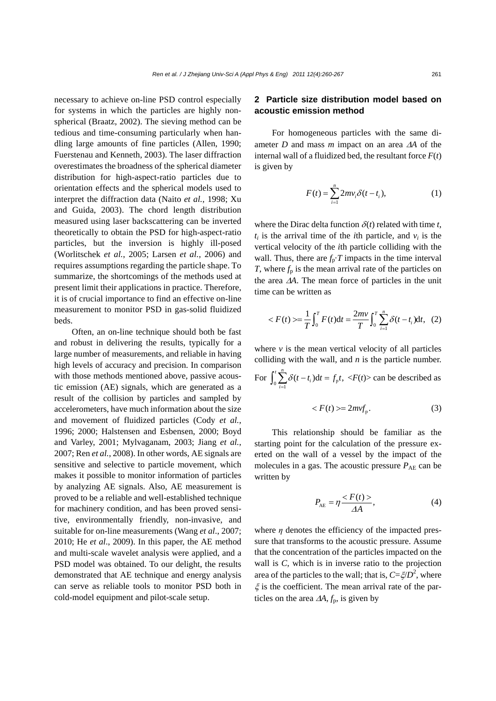necessary to achieve on-line PSD control especially for systems in which the particles are highly nonspherical (Braatz, 2002). The sieving method can be tedious and time-consuming particularly when handling large amounts of fine particles (Allen, 1990; Fuerstenau and Kenneth, 2003). The laser diffraction overestimates the broadness of the spherical diameter distribution for high-aspect-ratio particles due to orientation effects and the spherical models used to interpret the diffraction data (Naito *et al.*, 1998; Xu and Guida, 2003). The chord length distribution measured using laser backscattering can be inverted theoretically to obtain the PSD for high-aspect-ratio particles, but the inversion is highly ill-posed (Worlitschek *et al.*, 2005; Larsen *et al.*, 2006) and requires assumptions regarding the particle shape. To summarize, the shortcomings of the methods used at present limit their applications in practice. Therefore, it is of crucial importance to find an effective on-line measurement to monitor PSD in gas-solid fluidized beds.

Often, an on-line technique should both be fast and robust in delivering the results, typically for a large number of measurements, and reliable in having high levels of accuracy and precision. In comparison with those methods mentioned above, passive acoustic emission (AE) signals, which are generated as a result of the collision by particles and sampled by accelerometers, have much information about the size and movement of fluidized particles (Cody *et al.*, 1996; 2000; Halstensen and Esbensen, 2000; Boyd and Varley, 2001; Mylvaganam, 2003; Jiang *et al.*, 2007; Ren *et al.*, 2008). In other words, AE signals are sensitive and selective to particle movement, which makes it possible to monitor information of particles by analyzing AE signals. Also, AE measurement is proved to be a reliable and well-established technique for machinery condition, and has been proved sensitive, environmentally friendly, non-invasive, and suitable for on-line measurements (Wang *et al*., 2007; 2010; He *et al*., 2009). In this paper, the AE method and multi-scale wavelet analysis were applied, and a PSD model was obtained. To our delight, the results demonstrated that AE technique and energy analysis can serve as reliable tools to monitor PSD both in cold-model equipment and pilot-scale setup.

# **2 Particle size distribution model based on acoustic emission method**

For homogeneous particles with the same diameter *D* and mass *m* impact on an area Δ*A* of the internal wall of a fluidized bed, the resultant force  $F(t)$ is given by

$$
F(t) = \sum_{i=1}^{n} 2m v_i \delta(t - t_i),
$$
 (1)

where the Dirac delta function  $\delta(t)$  related with time *t*,  $t_i$  is the arrival time of the *i*th particle, and  $v_i$  is the vertical velocity of the *i*th particle colliding with the wall. Thus, there are  $f_p \cdot T$  impacts in the time interval *T*, where  $f_p$  is the mean arrival rate of the particles on the area Δ*A*. The mean force of particles in the unit time can be written as

$$
\langle F(t) \rangle = \frac{1}{T} \int_0^T F(t) \mathrm{d}t = \frac{2mv}{T} \int_0^T \sum_{i=1}^n \delta(t - t_i) \mathrm{d}t, \tag{2}
$$

where  $\nu$  is the mean vertical velocity of all particles colliding with the wall, and *n* is the particle number. For  $\int_0^t \sum_{i=1}^n \delta(t - t_i) dt = f_p t$ ,  $\sum_{i=1}$ <sup>*i*</sup>  $\delta(t-t_i)dt = f_0 t$  $\int_0^t \sum_{i=1}^{\infty} \delta(t - t_i) dt = f_p t$ , <*F*(*t*)> can be described as

$$
\langle F(t) \rangle = 2m v f_{\rm p}.\tag{3}
$$

This relationship should be familiar as the starting point for the calculation of the pressure exerted on the wall of a vessel by the impact of the molecules in a gas. The acoustic pressure  $P_{AE}$  can be written by

$$
P_{AE} = \eta \frac{< F(t) >}{\Delta A},\tag{4}
$$

where  $\eta$  denotes the efficiency of the impacted pressure that transforms to the acoustic pressure. Assume that the concentration of the particles impacted on the wall is *C*, which is in inverse ratio to the projection area of the particles to the wall; that is, *C*=ξ/*D*<sup>2</sup> , where  $\xi$  is the coefficient. The mean arrival rate of the particles on the area  $\Delta A$ ,  $f_p$ , is given by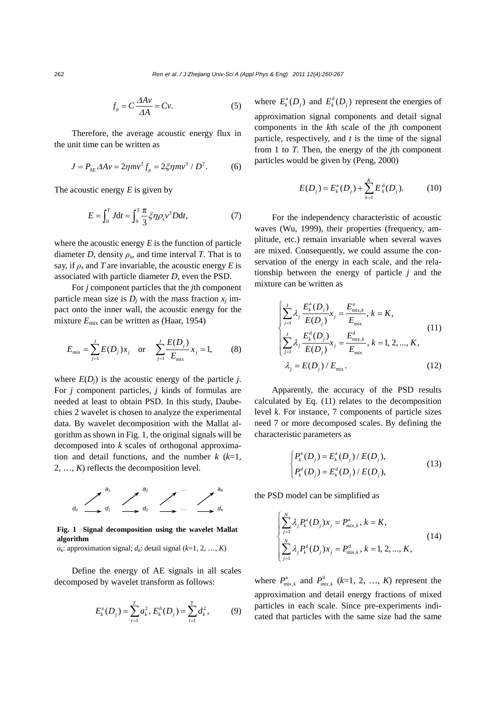$$
f_{\rm p} = C \frac{\Delta A \nu}{\Delta A} = C \nu. \tag{5}
$$

Therefore, the average acoustic energy flux in the unit time can be written as

$$
J = P_{AE} \Delta A v = 2 \eta m v^2 f_p = 2 \xi \eta m v^3 / D^2.
$$
 (6)

The acoustic energy *E* is given by

$$
E = \int_0^T J dt = \int_0^T \frac{\pi}{3} \xi \eta \rho_s v^3 D dt, \qquad (7)
$$

where the acoustic energy  $E$  is the function of particle diameter *D*, density  $\rho_s$ , and time interval *T*. That is to say, if  $\rho_s$  and *T* are invariable, the acoustic energy *E* is associated with particle diameter *D*, even the PSD.

For *j* component particles that the *j*th component particle mean size is  $D_i$  with the mass fraction  $x_i$  impact onto the inner wall, the acoustic energy for the mixture *E*mix can be written as (Haar, 1954)

$$
E_{\text{mix}} = \sum_{j=1}^{J} E(D_j) x_j
$$
 or  $\sum_{j=1}^{J} \frac{E(D_j)}{E_{\text{mix}}} x_j = 1,$  (8)

where  $E(D_i)$  is the acoustic energy of the particle *j*. For *j* component particles, *j* kinds of formulas are needed at least to obtain PSD. In this study, Daubechies 2 wavelet is chosen to analyze the experimental data. By wavelet decomposition with the Mallat algorithm as shown in Fig. 1, the original signals will be decomposed into *k* scales of orthogonal approximation and detail functions, and the number *k* (*k*=1, 2, …, *K*) reflects the decomposition level.



**Fig. 1 Signal decomposition using the wavelet Mallat algorithm** 

 $a_k$ : approximation signal;  $d_k$ : detail signal ( $k=1, 2, ..., K$ )

Define the energy of AE signals in all scales decomposed by wavelet transform as follows:

$$
E_k^{\rm a}(D_j) = \sum_{t=1}^T a_k^2, E_k^{\rm d}(D_j) = \sum_{t=1}^T d_k^2, \qquad (9)
$$

where  $E^{\text{a}}_k(D_i)$  and  $E^{\text{d}}_k(D_i)$  represent the energies of approximation signal components and detail signal components in the *k*th scale of the *j*th component particle, respectively, and *t* is the time of the signal from 1 to *T*. Then, the energy of the *j*th component particles would be given by (Peng, 2000)

$$
E(D_j) = E_k^a(D_j) + \sum_{k=1}^K E_k^d(D_j). \tag{10}
$$

For the independency characteristic of acoustic waves (Wu, 1999), their properties (frequency, amplitude, etc.) remain invariable when several waves are mixed. Consequently, we could assume the conservation of the energy in each scale, and the relationship between the energy of particle *j* and the mixture can be written as

$$
\begin{cases}\n\sum_{j=1}^{J} \lambda_j \frac{E_k^a(D_j)}{E(D_j)} x_j = \frac{E_{\text{mix},k}^a}{E_{\text{mix}}}, k = K, \\
\sum_{j=1}^{J} \lambda_j \frac{E_k^d(D_j)}{E(D_j)} x_j = \frac{E_{\text{mix},k}^d}{E_{\text{mix}}}, k = 1, 2, ..., K, \\
\lambda_j = E(D_j) / E_{\text{mix}}.\n\end{cases}
$$
\n(11)

Apparently, the accuracy of the PSD results calculated by Eq. (11) relates to the decomposition level *k*. For instance, 7 components of particle sizes need 7 or more decomposed scales. By defining the characteristic parameters as

$$
\begin{cases} P_k^{\mathbf{a}}(D_j) = E_k^{\mathbf{a}}(D_j) / E(D_j), \\ P_k^{\mathbf{d}}(D_j) = E_k^{\mathbf{d}}(D_j) / E(D_j), \end{cases}
$$
 (13)

the PSD model can be simplified as

$$
\begin{cases}\n\sum_{j=1}^{N} \lambda_j P_k^{\mathfrak{a}}(D_j) x_j = P_{\text{mix},k}^{\mathfrak{a}}, k = K, \\
\sum_{j=1}^{N} \lambda_j P_k^{\mathfrak{a}}(D_j) x_j = P_{\text{mix},k}^{\mathfrak{a}}, k = 1, 2, ..., K,\n\end{cases}
$$
\n(14)

where  $P_{\text{mix},k}^{\text{a}}$  and  $P_{\text{mix},k}^{\text{d}}$  (*k*=1, 2, …, *K*) represent the approximation and detail energy fractions of mixed particles in each scale. Since pre-experiments indicated that particles with the same size had the same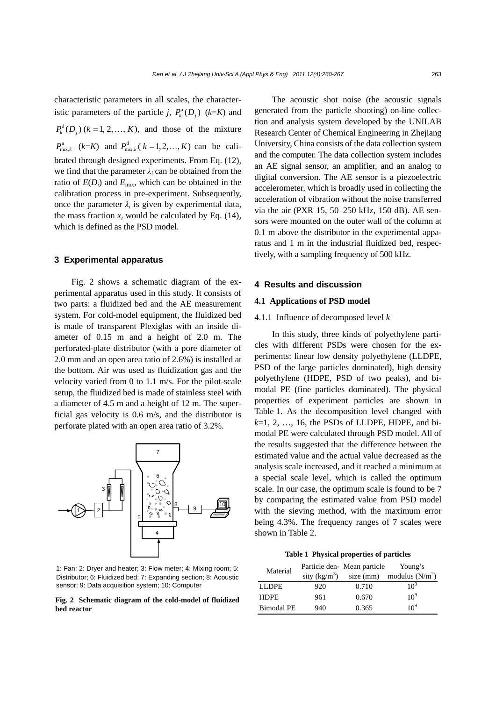characteristic parameters in all scales, the characteristic parameters of the particle *j*,  $P_k^a(D_j)$  (*k*=*K*) and  $P_k^d(D_j)$  ( $k = 1, 2, ..., K$ ), and those of the mixture  $P_{\text{mix},k}^{a}$  (*k*=*K*) and  $P_{\text{mix},k}^{d}$  (*k* = 1, 2, ..., *K*) can be calibrated through designed experiments. From Eq. (12), we find that the parameter  $\lambda_i$  can be obtained from the ratio of  $E(D_i)$  and  $E_{\text{mix}}$ , which can be obtained in the calibration process in pre-experiment. Subsequently, once the parameter  $\lambda_i$  is given by experimental data, the mass fraction  $x_i$  would be calculated by Eq.  $(14)$ , which is defined as the PSD model.

## **3 Experimental apparatus**

Fig. 2 shows a schematic diagram of the experimental apparatus used in this study. It consists of two parts: a fluidized bed and the AE measurement system. For cold-model equipment, the fluidized bed is made of transparent Plexiglas with an inside diameter of 0.15 m and a height of 2.0 m. The perforated-plate distributor (with a pore diameter of 2.0 mm and an open area ratio of 2.6%) is installed at the bottom. Air was used as fluidization gas and the velocity varied from 0 to 1.1 m/s. For the pilot-scale setup, the fluidized bed is made of stainless steel with a diameter of 4.5 m and a height of 12 m. The superficial gas velocity is 0.6 m/s, and the distributor is perforate plated with an open area ratio of 3.2%.



1: Fan; 2: Dryer and heater; 3: Flow meter; 4: Mixing room; 5: Distributor; 6: Fluidized bed; 7: Expanding section; 8: Acoustic sensor; 9: Data acquisition system; 10: Computer

**Fig. 2 Schematic diagram of the cold-model of fluidized bed reactor** 

The acoustic shot noise (the acoustic signals generated from the particle shooting) on-line collection and analysis system developed by the UNILAB Research Center of Chemical Engineering in Zhejiang University, China consists of the data collection system and the computer. The data collection system includes an AE signal sensor, an amplifier, and an analog to digital conversion. The AE sensor is a piezoelectric accelerometer, which is broadly used in collecting the acceleration of vibration without the noise transferred via the air (PXR 15, 50–250 kHz, 150 dB). AE sensors were mounted on the outer wall of the column at 0.1 m above the distributor in the experimental apparatus and 1 m in the industrial fluidized bed, respectively, with a sampling frequency of 500 kHz.

## **4 Results and discussion**

#### **4.1 Applications of PSD model**

#### 4.1.1 Influence of decomposed level *k*

In this study, three kinds of polyethylene particles with different PSDs were chosen for the experiments: linear low density polyethylene (LLDPE, PSD of the large particles dominated), high density polyethylene (HDPE, PSD of two peaks), and bimodal PE (fine particles dominated). The physical properties of experiment particles are shown in Table 1. As the decomposition level changed with  $k=1, 2, \ldots, 16$ , the PSDs of LLDPE, HDPE, and bimodal PE were calculated through PSD model. All of the results suggested that the difference between the estimated value and the actual value decreased as the analysis scale increased, and it reached a minimum at a special scale level, which is called the optimum scale. In our case, the optimum scale is found to be 7 by comparing the estimated value from PSD model with the sieving method, with the maximum error being 4.3%. The frequency ranges of 7 scales were shown in Table 2.

**Table 1 Physical properties of particles**

| Material     |                 | Particle den-Mean particle | Young's           |
|--------------|-----------------|----------------------------|-------------------|
|              | sity $(kg/m^3)$ | size (mm)                  | modulus $(N/m^2)$ |
| <b>LLDPE</b> | 920             | 0.710                      | $10^9$            |
| <b>HDPE</b>  | 961             | 0.670                      | 10 <sup>9</sup>   |
| Bimodal PE   | 940             | 0.365                      | 10 <sup>9</sup>   |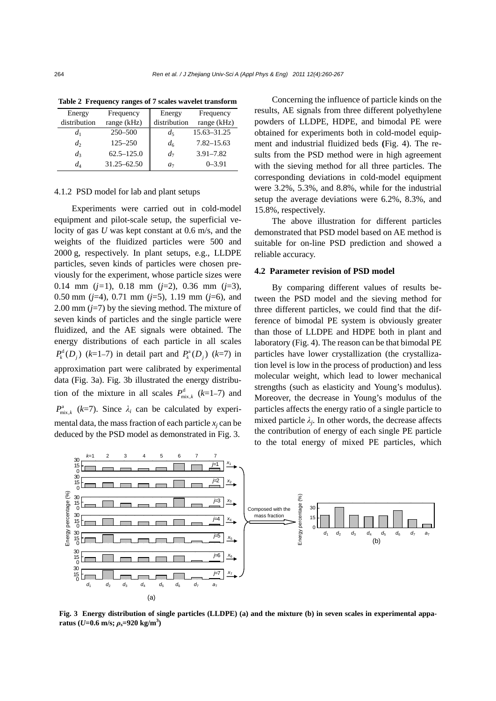| $\frac{1}{2}$ and $\frac{1}{2}$ and $\frac{1}{2}$ and $\frac{1}{2}$ and $\frac{1}{2}$ and $\frac{1}{2}$ are the set of the set of the set of the set of the set of the set of the set of the set of the set of the set of the set of the set of the s |                |                |                |  |  |
|-------------------------------------------------------------------------------------------------------------------------------------------------------------------------------------------------------------------------------------------------------|----------------|----------------|----------------|--|--|
| Energy                                                                                                                                                                                                                                                | Frequency      | Energy         | Frequency      |  |  |
| distribution                                                                                                                                                                                                                                          | range (kHz)    | distribution   | range (kHz)    |  |  |
| d <sub>1</sub>                                                                                                                                                                                                                                        | 250-500        | $d_{5}$        | 15.63-31.25    |  |  |
| $\mathfrak{d}_2$                                                                                                                                                                                                                                      | $125 - 250$    | $d_{6}$        | $7.82 - 15.63$ |  |  |
| $d_3$                                                                                                                                                                                                                                                 | $62.5 - 125.0$ | $d_{7}$        | $3.91 - 7.82$  |  |  |
| $d_4$                                                                                                                                                                                                                                                 | 31.25-62.50    | a <sub>7</sub> | $0 - 3.91$     |  |  |

**Table 2 Frequency ranges of 7 scales wavelet transform**

#### 4.1.2 PSD model for lab and plant setups

Experiments were carried out in cold-model equipment and pilot-scale setup, the superficial velocity of gas *U* was kept constant at 0.6 m/s, and the weights of the fluidized particles were 500 and 2000 g, respectively. In plant setups, e.g., LLDPE particles, seven kinds of particles were chosen previously for the experiment, whose particle sizes were 0.14 mm (*j=*1), 0.18 mm (*j*=2), 0.36 mm (*j*=3), 0.50 mm (*j*=4), 0.71 mm (*j*=5), 1.19 mm (*j*=6), and 2.00 mm  $(i=7)$  by the sieving method. The mixture of seven kinds of particles and the single particle were fluidized, and the AE signals were obtained. The energy distributions of each particle in all scales  $P_k^d(D_j)$  (k=1–7) in detail part and  $P_k^a(D_j)$  (k=7) in approximation part were calibrated by experimental data (Fig. 3a). Fig. 3b illustrated the energy distribution of the mixture in all scales  $P_{\text{mix},k}^d$  (*k*=1–7) and  $P_{\text{mix},k}^{a}$  (k=7). Since  $\lambda_i$  can be calculated by experimental data, the mass fraction of each particle  $x_i$  can be deduced by the PSD model as demonstrated in Fig. 3.

Concerning the influence of particle kinds on the results, AE signals from three different polyethylene powders of LLDPE, HDPE, and bimodal PE were obtained for experiments both in cold-model equipment and industrial fluidized beds **(**Fig. 4). The results from the PSD method were in high agreement with the sieving method for all three particles. The corresponding deviations in cold-model equipment were 3.2%, 5.3%, and 8.8%, while for the industrial setup the average deviations were 6.2%, 8.3%, and 15.8%, respectively.

The above illustration for different particles demonstrated that PSD model based on AE method is suitable for on-line PSD prediction and showed a reliable accuracy.

## **4.2 Parameter revision of PSD model**

By comparing different values of results between the PSD model and the sieving method for three different particles, we could find that the difference of bimodal PE system is obviously greater than those of LLDPE and HDPE both in plant and laboratory (Fig. 4). The reason can be that bimodal PE particles have lower crystallization (the crystallization level is low in the process of production) and less molecular weight, which lead to lower mechanical strengths (such as elasticity and Young's modulus). Moreover, the decrease in Young's modulus of the particles affects the energy ratio of a single particle to mixed particle  $\lambda_i$ . In other words, the decrease affects the contribution of energy of each single PE particle to the total energy of mixed PE particles, which



**Fig. 3 Energy distribution of single particles (LLDPE) (a) and the mixture (b) in seven scales in experimental apparatus** (*U*=0.6 m/s;  $\rho_s$ =920 kg/m<sup>3</sup>)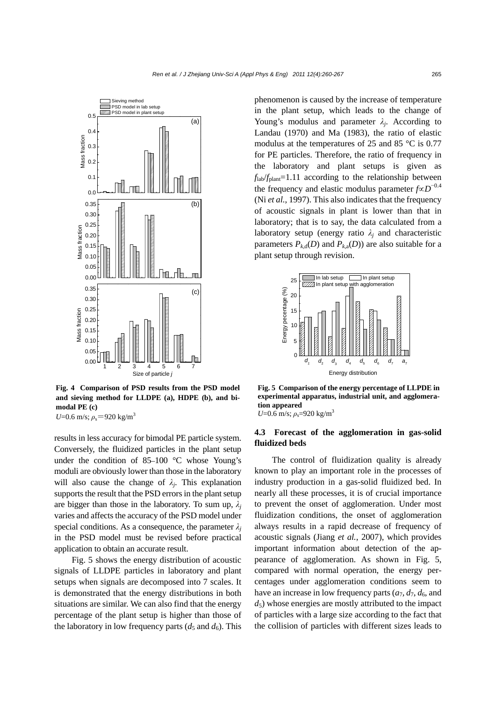

**Fig. 4 Comparison of PSD results from the PSD model and sieving method for LLDPE (a), HDPE (b), and bimodal PE (c)** 

 $U=0.6$  m/s;  $\rho_s=920$  kg/m<sup>3</sup>

results in less accuracy for bimodal PE particle system. Conversely, the fluidized particles in the plant setup under the condition of 85–100 °C whose Young's moduli are obviously lower than those in the laboratory will also cause the change of  $\lambda_j$ . This explanation supports the result that the PSD errors in the plant setup are bigger than those in the laboratory. To sum up, *λ<sup>j</sup>* varies and affects the accuracy of the PSD model under special conditions. As a consequence, the parameter  $\lambda_i$ in the PSD model must be revised before practical application to obtain an accurate result.

Fig. 5 shows the energy distribution of acoustic signals of LLDPE particles in laboratory and plant setups when signals are decomposed into 7 scales. It is demonstrated that the energy distributions in both situations are similar. We can also find that the energy percentage of the plant setup is higher than those of the laboratory in low frequency parts  $(d_5 \text{ and } d_6)$ . This

phenomenon is caused by the increase of temperature in the plant setup, which leads to the change of Young's modulus and parameter *λj*. According to Landau (1970) and Ma (1983), the ratio of elastic modulus at the temperatures of 25 and 85 °C is 0.77 for PE particles. Therefore, the ratio of frequency in the laboratory and plant setups is given as  $f_{lab}/f_{plan}$ =1.11 according to the relationship between the frequency and elastic modulus parameter *f*∝*D*<sup>−</sup>0.4 (Ni *et al.*, 1997). This also indicates that the frequency of acoustic signals in plant is lower than that in laboratory; that is to say, the data calculated from a laboratory setup (energy ratio  $\lambda_i$  and characteristic parameters  $P_{k,d}(D)$  and  $P_{k,a}(D)$  are also suitable for a plant setup through revision.



**Fig. 5 Comparison of the energy percentage of LLPDE in experimental apparatus, industrial unit, and agglomeration appeared**   $U=0.6 \text{ m/s}; \rho_s=920 \text{ kg/m}^3$ 

## **4.3 Forecast of the agglomeration in gas-solid fluidized beds**

The control of fluidization quality is already known to play an important role in the processes of industry production in a gas-solid fluidized bed. In nearly all these processes, it is of crucial importance to prevent the onset of agglomeration. Under most fluidization conditions, the onset of agglomeration always results in a rapid decrease of frequency of acoustic signals (Jiang *et al.*, 2007), which provides important information about detection of the appearance of agglomeration. As shown in Fig. 5, compared with normal operation, the energy percentages under agglomeration conditions seem to have an increase in low frequency parts  $(a_7, d_7, d_6)$ , and *d*5) whose energies are mostly attributed to the impact of particles with a large size according to the fact that the collision of particles with different sizes leads to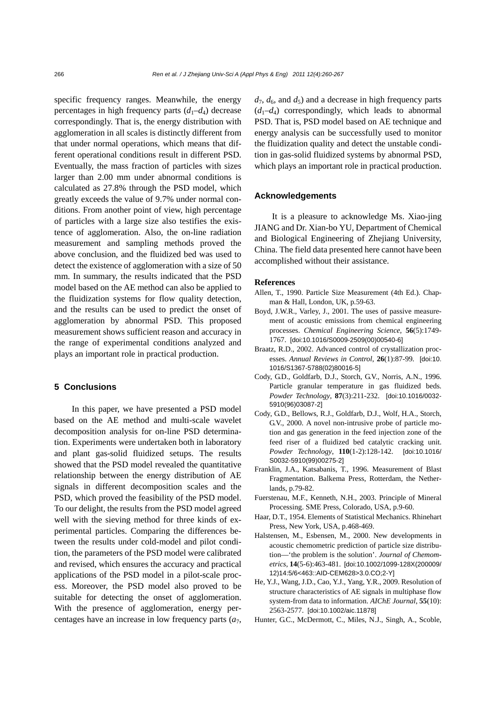specific frequency ranges. Meanwhile, the energy percentages in high frequency parts  $(d_1-d_4)$  decrease correspondingly. That is, the energy distribution with agglomeration in all scales is distinctly different from that under normal operations, which means that different operational conditions result in different PSD. Eventually, the mass fraction of particles with sizes larger than 2.00 mm under abnormal conditions is calculated as 27.8% through the PSD model, which greatly exceeds the value of 9.7% under normal conditions. From another point of view, high percentage of particles with a large size also testifies the existence of agglomeration. Also, the on-line radiation measurement and sampling methods proved the above conclusion, and the fluidized bed was used to detect the existence of agglomeration with a size of 50 mm. In summary, the results indicated that the PSD model based on the AE method can also be applied to the fluidization systems for flow quality detection, and the results can be used to predict the onset of agglomeration by abnormal PSD. This proposed measurement shows sufficient reason and accuracy in the range of experimental conditions analyzed and plays an important role in practical production.

## **5 Conclusions**

In this paper, we have presented a PSD model based on the AE method and multi-scale wavelet decomposition analysis for on-line PSD determination. Experiments were undertaken both in laboratory and plant gas-solid fluidized setups. The results showed that the PSD model revealed the quantitative relationship between the energy distribution of AE signals in different decomposition scales and the PSD, which proved the feasibility of the PSD model. To our delight, the results from the PSD model agreed well with the sieving method for three kinds of experimental particles. Comparing the differences between the results under cold-model and pilot condition, the parameters of the PSD model were calibrated and revised, which ensures the accuracy and practical applications of the PSD model in a pilot-scale process. Moreover, the PSD model also proved to be suitable for detecting the onset of agglomeration. With the presence of agglomeration, energy percentages have an increase in low frequency parts (*a*7,  $d_7$ ,  $d_6$ , and  $d_5$ ) and a decrease in high frequency parts  $(d_1-d_4)$  correspondingly, which leads to abnormal PSD. That is, PSD model based on AE technique and energy analysis can be successfully used to monitor the fluidization quality and detect the unstable condition in gas-solid fluidized systems by abnormal PSD, which plays an important role in practical production.

## **Acknowledgements**

It is a pleasure to acknowledge Ms. Xiao-jing JIANG and Dr. Xian-bo YU, Department of Chemical and Biological Engineering of Zhejiang University, China. The field data presented here cannot have been accomplished without their assistance.

## **References**

- Allen, T., 1990. Particle Size Measurement (4th Ed.). Chapman & Hall, London, UK, p.59-63.
- Boyd, J.W.R., Varley, J., 2001. The uses of passive measurement of acoustic emissions from chemical engineering processes. *Chemical Engineering Science*, **56**(5):1749- 1767. [doi:10.1016/S0009-2509(00)00540-6]
- Braatz, R.D., 2002. Advanced control of crystallization processes. *Annual Reviews in Control*, **26**(1):87-99. [doi:10. 1016/S1367-5788(02)80016-5]
- Cody, G.D., Goldfarb, D.J., Storch, G.V., Norris, A.N., 1996. Particle granular temperature in gas fluidized beds. *Powder Technology*, **87**(3):211-232.[doi:10.1016/0032- 5910(96)03087-2]
- Cody, G.D., Bellows, R.J., Goldfarb, D.J., Wolf, H.A., Storch, G.V., 2000. A novel non-intrusive probe of particle motion and gas generation in the feed injection zone of the feed riser of a fluidized bed catalytic cracking unit. *Powder Technology*, **110**(1-2):128-142. [doi:10.1016/ S0032-5910(99)00275-2]
- Franklin, J.A., Katsabanis, T., 1996. Measurement of Blast Fragmentation. Balkema Press, Rotterdam, the Netherlands, p.79-82.
- Fuerstenau, M.F., Kenneth, N.H., 2003. Principle of Mineral Processing. SME Press, Colorado, USA, p.9-60.
- Haar, D.T., 1954. Elements of Statistical Mechanics. Rhinehart Press, New York, USA, p.468-469.
- Halstensen, M., Esbensen, M., 2000. New developments in acoustic chemometric prediction of particle size distribution—'the problem is the solution'. *Journal of Chemometrics*, **14**(5-6):463-481. [doi:10.1002/1099-128X(200009/ 12)14:5/6<463::AID-CEM628>3.0.CO;2-Y]
- He, Y.J., Wang, J.D., Cao, Y.J., Yang, Y.R., 2009. Resolution of structure characteristics of AE signals in multiphase flow system-from data to information. *AIChE Journal*, **55**(10): 2563-2577. [doi:10.1002/aic.11878]
- Hunter, G.C., McDermott, C., Miles, N.J., Singh, A., Scoble,